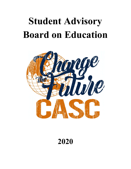# **Student Advisory Board on Education**



## **2020**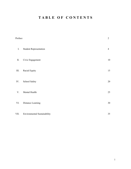### **T A B L E O F C O N T E N T S**

| Preface    |                                     | $\overline{2}$ |
|------------|-------------------------------------|----------------|
| ${\rm I}.$ | <b>Student Representation</b>       | $\overline{4}$ |
| $\rm{II}.$ | Civic Engagement                    | $10\,$         |
| $\rm III.$ | Racial Equity                       | $15\,$         |
| IV.        | School Safety                       | $20\,$         |
| V.         | Mental Health                       | $25\,$         |
| VI.        | Distance Learning                   | $30\,$         |
| VII.       | <b>Environmental Sustainability</b> | 35             |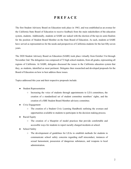#### **P R E F A C E**

The first Student Advisory Board on Education took place in 1963, and was established as an avenue for the California State Board of Education to receive feedback from the main stakeholders of the education system, students. Additionally, students at SABE are tasked with the election of the top six semi-finalists for the position of Student Board Member on the State Board of Education. As such, students at SABE have served as representatives for the needs and perspectives of California students for the last fifty-seven years.

The 2020 Student Advisory Board on Education (SABE) took place virtually from October 31st through November 2nd. The delegation was composed of 72 high school students, from all grades, representing all regions of California. At SABE, delegates discussed the issues in the California education system that they, as students, identified as most pertinent. Delegates then researched and developed proposals for the Board of Education on how to best address these issues.

Topics addressed this year and their respective proposals include:

- Student Representation
	- Increasing the voice of students through appointments to LEA committees, the creation of a standardized set of student committee members' rights, and the creation of a SBE Student Board Member advisory committee.
- Civic Engagement
	- The creation of a Student Civic Learning Handbook outlining the avenues and opportunities available to students to participate in the decision making process.
- Racial Equity
	- The creation of a blueprint of model practices that provide comfortable and accessible ways for students to report racially charged incidents at school.
- School Safety
	- The developement of guidelines for LEAs to establish methods for students to communicate school safety concerns regarding staff misconduct, instances of sexual harassment, possession of dangerous substances, and weapons to local administration.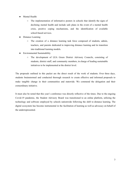- Mental Health
	- The implementation of informative posters in schools that identify the signs of declining mental health and include safe plans in the event of a mental health crisis, positive coping mechanisms, and the identification of available school-based services.
- Distance Learning
	- The creation of a distance learning task force composed of students, admin, teachers, and parents dedicated to improving distance learning and its transition into traditional learning models.
- Environmental Sustainability
	- The development of LEA Green District Advisory Councils, consisting of students, district staff, and community members, in charge of leading sustainable initiatives to be implemented at the district level.

The proposals outlined in this packet are the direct result of the work of students. Over three days, students brainstormed and conducted thorough research to create effective and informed proposals to make tangible change in their communities and statewide. We commend the delegation and their extraordinary initiative.

It must also be noted that this year's conference was directly reflective of the times. Due to the ongoing Covid-19 pandemic, the Student Advisory Board was transitioned to an online platform, utilizing the technology and software employed by schools nationwide following the shift to distance learning. The digital ecosystem has become instrumental in the facilitation of learning as well as advocacy on behalf of the underrepresented.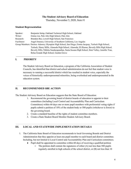#### **The Student Advisory Board of Education**

Thursday, November 5, 2020, Item #1

#### **Student Representation**

| Speaker:     | Benjamin Salop, Oakland Technical High School, Oakland                                             |
|--------------|----------------------------------------------------------------------------------------------------|
| Writer:      | Emma Lin, Palo Alto High School, Palo Alto                                                         |
| Research:    | Brandon Bui, Lowell High School, San Francisco                                                     |
| Facilitator: | Angel Jimenez, University of Southern California, Los Angeles                                      |
|              | Group Members: Desiree Adamos, Olympian High School, San Diego; Emma Jacquay, Turlock High School, |
|              | Turlock; Henry Mills, Alameda High School, Alameda; Eli Ramer, Beverly Hills High School,          |
|              | Beverly Hills; Nikhita Sundarapandian, Santa Susana High School, Simi Valley; Jennifer Tran,       |
|              | Bolsa Grande High School, Garden Grove                                                             |

#### **I. PRIORITY**

The Student Advisory Board on Education, a program of the California Association of Student Councils, has identified that district and school administration do not feel that student voice is necessary to running a successful district which has resulted in student voice, especially the voices of historically underrepresented minorities, being overlooked and underrepresented in the education system.

#### **II. RECOMMENDED SBE ACTION**

The Student Advisory Board on Education suggests that the State Board of Education:

- 1. Recommend the governing board of district boards of education to appoint to their committees (including Local Control and Accountability Plan and Curriculum Committees) within 60 days one or more pupil members with preferential voting rights if pupils submit a petition of 10% of the student body or 500 pupils (whichever is fewer) to the governing board.
- 2. Create a standard baseline of the rights of student committee members.
- 3. Create a State Student Board Member Student Advisory Board.

#### **III. LOCAL AND STATEWIDE IMPLEMENTATION DETAILS**

- 1. The California State Board of Education recommends to local Governing Boards and District Administration that they appoint at least one pupil member to each board and district committee. Including, but not limited to Local Control and Accountability Plan and Curriculum committees.
	- Pupil shall be appointed to committee within 60 days of receiving a qualified petition
		- $\circ$  The petition shall contain the signatures of either (A) not less than 500 pupils regularly enrolled in high schools of the school district, or (B) not less than 10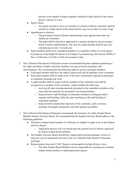percent of the number of pupils regularly enrolled in high schools of the school district, whichever is less.

- Pupil Criteria
	- Any pupil selected to serve as a member of a board or district committee shall be enrolled in a high school of the school district, may be less than 18 years of age.
- Appointment or election
	- The governance board of district administration may appoint more than one student per committee
	- The pupil shall be elected or appointed in a manner decided by the governance board or district administration. The term of a pupil member shall be one year commencing on July 1 of each year.
- Pupil members shall not be considered members of a legislative body of a local agency for purposes of the Ralph M. Brown Act (Chapter 9 (commencing with Section 54950) of Part 1 of Division 2 of Title 5 of the Government Code).
- 2. The California State Board of Education creates recommended baseline standards pertaining to the rights and duties of pupil committee members serving on board committees and subcommittees. We recommend that the following rights be given to all pupil members:
	- Each pupil member shall have the right to attend each and all meetings of the committee.
	- Each pupil member shall be made aware of the time commitment required to participate in committee meetings and work.
	- A pupil member shall be seated with the members of the committee and shall be recognized as a member of the committee, which includes the following:
		- receiving all open meeting materials presented to the committee members at the same time the materials are presented to the board members
		- being invited to staff briefings of committee members or being provided a separate staff briefing within the same timeframe as the staff briefing of committee members
		- being invited to attend other functions of the committee, such as forums, meetings with pupils and parents, and other general assemblies.
- 3. The California State Board of Education recommends the formation of a State Student Board Member Student Advisory Board. We recommend that the Student Advisory Board adhere to the following guidelines:
	- All district student board members in California are eligible to apply to be on the Student Advisory Board.
		- Application process will vary based upon the general level of interest expressed by district student board members.
	- The Student Advisory Board should have regular and recurring meetings, at least six times per year (in preparation for each of the six California State Board of Education meetings)
	- Representation from each CASC Region is encouraged to include diverse voices
		- The State Student Board Member may be responsible for reaching out to district student board members in underrepresented regions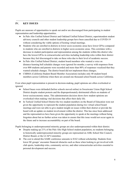#### **IV. KEY ISSUES**

Pupils are unaware of opportunities to speak out and/or are discouraged from participating in student representation and leadership opportunities.

- In Palo Alto Unified School District and Oakland Unified School District, superintendent student advisory councils and other student leadership groups have been cancelled due to COVID-19 without considering the viable options of hosting virtual meetings.
- Students who are enrolled in districts in lower socio-economic areas have lower GPAs compared to students who are enrolled in districts in higher socio-economic areas. This correlates with a decrease in student participation and representation among the students within this district who have the lowest GPAs in extracurricular activities including leadership roles within their district because they feel discouraged to take on these roles due to their level of academic success.
- In Palo Alto Unified School District, student board members who wanted a voice on distance-learning bell schedule changes were ignored for months; a survey with responses from over 800 students and parents were recorded and more than 80% of responses vocalized that they wanted schedule changes. The district board did not implement these changes.
- CSBMA (California Student Board Member Association) includes only 40 student board members across California when there are around one thousand school boards across California.

Even when pupil representation is present in decision-making, pupil opinions are often overlooked or ignored.

- School buses were defunded (before schools moved online) in Sweetwater Union High School District despite student protests and the disproportionately detrimental effects on students of lower socioeconomic status. This administration decision shows how student opinions are overlooked when making vital decisions that affect their daily life.
- In Turlock Unified School District the two student members on the Board of Education were not given the opportunity to represent the student population during two virtual school board meetings and were not able to give student insight on issues within their district or provide the board with an update on student involvement within the district. This has since been addressed and the representatives have been given the opportunity to speak at the meetings without being forgotten about but no further action was taken to ensure that this issue would not occur again in the future and to increase accountability on part of the board.

Pupils belonging to underrepresented minority groups are also underrepresented within their district.

- Despite making up 21% of the Palo Alto High School student population, no students belonging to historically underrepresented minority groups are represented on ASB, School Site Council, District Board, or the LCAP Committee.
- The cost to attend this SABE conference amounts to \$162 without scholarship. Students from lower SE groups<sup>1</sup> encounter financial obstacles such as these when looking to get involved with club sports, leadership roles, community service, and other extracurricular activities essential to personal development and success.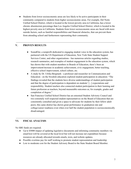● Students from lower socioeconomic areas are less likely to be active participants in their community compared to students from higher socioeconomic areas. For example, Del Norte Unified School District, which is located in the lowest poverty area in California, has a lower chronic absenteeism percentage than Los Angeles Unified School District, which is located in the highest poverty area in California. Students from lower socioeconomic areas are faced with more outside factors, such as familial responsibilities and financial obstacles, that can prevent them from attending school and furthermore representing their community.

#### **V. PROVEN RESULTS**

- SoundOut, a nonprofit dedicated to engaging student voice in the education system, has partnered with the US Department of Education, New York State Student Support Services Center, and other organizations - has numerous articles regarding studies, research summaries, and examples of student engagement in the education system, which has shown that with student members in Boards of Education, there's been an improvement/increase in academic achievement, civic engagement, better teaching, effective school improvement, school culture, etc.
- A study by Dr. Ulrika Bergmark a professor and researcher in Communication and Education - on the Swedish education explored student participation in education: "The findings revealed that the students have diverse understandings of student participation and that the degree of participation is dependent on students' [...] expectations and responsibility. Student teachers also connected student participation to their learning and future profession as teachers, beyond measurable outcomes as, for example, grades and completion of degree."
- San Francisco Unified School District has an esteemed Student Advisory Council and two extremely well respected student representatives on the Board of Education that are consistently consulted and given a space to advocate for students by their fellow adult peers; this same district has shown great performance in graduation rate and college/career readiness even when over half the student population is socioeconomically disadvantaged.

#### **VI. FISCAL ANALYSIS**

No SBE funds are required.

- Up to \$5000 impact of updating legislative documents and informing community members via email/text will be covered at the local level but will not increase net expenditure because resources are already allocated towards emails, texts, and website updates.
- Possible overtime pay for staff working to promote student representation and leadership
- Low to moderate cost for the Student Advisory Board to the State Student Board Member.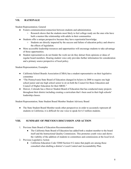#### **VII. RATIONALE**

#### Student Representation; General

- Fosters communication/connection between students and administration.
	- Research shows that the students most likely to feel college ready are the ones who have built a mentor-like relationship with adults in their communities
- Students offer a unique perspective because they have experiential knowledge.
	- Students are directly impacted by the success and failure of education policy and observe the effects of legislation.
- More accessible leadership resources and opportunities will encourage students to take advantage of those opportunities.
- Student representatives do not hinder the work nor do they detract from opinions or ideas of regular board members. Hearing student voice only provides further information for consideration and a primary source perspective of local policy.

Student Representation; Examples

- California School Boards Association (CSBA) has a student representative on their legislative committee
- "The Pennsylvania State Board of Education changed its bylaws in 2008 to require one high school junior and one high school senior to sit on both the Council for Basic Education and Council of Higher Education for their SBOE."
- Denver, Colorado has a Denver Student Board of Education that has conducted many projects throughout their district including creating a curriculum that's been used in their high schools' leadership classes.

Student Representation; State Student Board Member Student Advisory Board

• The State Student Board Member needs other perspectives in order to accurately represent all students in California; it is difficult for one voice to speak for 6.5 million students.

#### **VIII. SUMMARY OF PREVIOUS DISCUSSION AND ACTION**

- 1. Previous State Board of Education Recommendations
	- The California State Board of Education has added both a student member to the board itself and the Instructional Quality Commission. This promotes youth voice and shows the viability of the addition of students to committees and commissions at the local level.
- 2. Previous Legislative Action
	- California Education Code 52060 Section 8 G states that pupils are among those consulted when drafting a district's Local Control and Accountability Plan.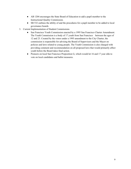- AB 1204 encourages the State Board of Education to add a pupil member to the Instructional Quality Commission.
- SB 532 outlines the ability of and the procedures for a pupil member to be added to local governance boards
- 3. Current Implementation of Student Commissions
	- San Francisco Youth Commission enacted by a 1995 San Francisco Charter Amendment. The Youth Commission is a body of 17 youth from San Francisco between the ages of 12 and 23. Created by the voters under a 1995 amendment to the City Charter, the commission is responsible for advising the Board of Supervisors and the Mayor on policies and laws related to young people. The Youth Commission is also charged with providing comment and recommendation on all proposed laws that would primarily affect youth before the Board takes final action.
	- Pioneers on local San Francisco Proposition G, which would let 16 and 17 year olds to vote on local candidates and ballot measures.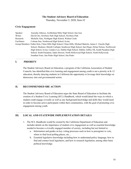#### **The Student Advisory Board of Education**

Thursday, November 5, 2020, Item #2

#### **Civic Engagement**

| Speaker:     | Anousha Athreya, Archbishop Mitty High School, San Jose                                                 |
|--------------|---------------------------------------------------------------------------------------------------------|
| Writer:      | David Cho, Newbury Park High School, Newbury Park                                                       |
| Research:    | Michelle Alas, Northgate High School, Walnut Creek                                                      |
| Facilitator: | Colman Sun, Northwood High School, Irvine                                                               |
|              | Group Members: Esther Kim, Chino Hills High School, Chino Hills; Michael Balerite, James C. Enochs High |
|              | School, Modesto; Metztli Carbajal, Southwest High School, San Diego; Dylan Nelson, Northwood            |
|              | High School, Irvine; Candice Lee, Dublin High School, Dublin; Jeffrey Oh, South Pasadena High           |
|              | School, South Pasadena; Jaden Stewart, North Hollywood High School, North Hollywood;                    |
|              | Jonathan Fratz, San Pedro High School, San Pedro                                                        |

#### **I. PRIORITY**

The Student Advisory Board on Education, a program of the California Association of Student Councils, has identified that civic learning and engagement among youth is not a priority in K-12 education, thereby denying students in California the opportunity to leverage their knowledge on democracy into real governmental action.

#### **II. RECOMMENDED SBE ACTION**

The Student Advisory Board of Education urges the State Board of Education to facilitate the creation of a Student Civic Learning (SCL) Handbook, which would detail the ways in which a student could engage civically as well as any background knowledge and skills they would need in order to become active participants within their communities, with the goal of promoting civic engagement among youth.

#### **III. LOCAL AND STATEWIDE IMPLEMENTATION DETAILS**

- 1. The SCL Handbook would be created by the California Department of Education and includes details on the importance of student civic engagement as well as essential knowledge needed to become a civically engaged member of society, including but not limited to:
	- a. Information and guides on key voting processes such as how to preregister to vote, where to find local polling places, etc...
	- b. Essential legislative knowledge including how to understand policy language, how to find and contact local legislators, and how to research legislation, among other basic political knowledge.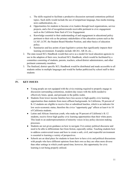- c. The skills required to facilitate a productive discussion surround contentious political topics. Such skills would include the use of nonpartisan language, bias media training, news authentication, etc…
- d. Opportunities for students to become civic leaders through local organizations, service projects, and a list of recognition/awards receivable pertinent to civic engagement such as the California State Seal of Civic Engagement.
- e. Knowledge essential to their understanding of and engagement in educational policy pertinent to their role as the primary stakeholders of the education system such as the LCAP, LCFF, the Student Board Member Position, and other basics of education policy.
- f. Summaries and key points of past legislative actions that significantly impacts their learning environment. Examples include AB 261, AB 24, etc…
- 2. The state-issued SCL Handbook would then serve as a model for local education agencies to use in the adaption of their own, localized SCL Handbook, which would be facilitated by a committee consisting of students, parents, teachers, school/district administrators, and other pertinent community members.
- 3. The finalized, district specific SCL Handbook would be distributed and made accessible to all students online in multiple languages and would be further publicized by school staff to their students

#### **IV. KEY ISSUES**

- Young people are not equipped with the civics training required to properly engage in discussion surrounding contentious, modern-day issues with the skills needed to effectively listen, speak, and persuade in the public realm.
- Students from lower income families have less access to high-quality civic learning opportunities than students from more affluent backgrounds. In California, 58 percent of K-12 students are eligible to receive free or subsidized lunches, which is an indicator for low socio-economic status, therefore the civics "opportunity gap" affects at least 6 in 10 of California students.
- Latino and African American youth, who make up 59 percent of California's K-12 students, receive fewer high quality civic learning opportunities than their white peers. This leads to an underrepresentation of minority voices in key policy decision making processes.
- Students are not given guidance on how to navigate 21st century political discourse and need to be able to differentiate fact from fiction, especially online. Teaching students how to address controversial issues and how to create a safe, civil, and respectful environment is essential to learning a variety of perspectives.
- Schools are an ideal place for students to learn how to have civic and political discussions with people who have different opinions from their own as they are often more diverse than other settings in which youth spend time; however, this opportunity for civic learning is not being properly utilized.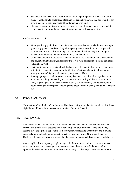- Students are not aware of the opportunities for civic participation available to them. In many school districts, students and teachers are generally unaware that opportunities for civic engagement such as a student board member even exist.
- Student voices are not taken seriously by those in power because young people lack the civic education to properly express their opinions in a professional setting.

#### **V. PROVEN RESULTS**

- When youth engage in discussions of current events and controversial issues, they report greater engagement in school. They also report greater interest in politics, improved communication and critical thinking skills, increased civic knowledge, and a higher chance of participating in civic life as adults (Gould et. al, 2011)
- Civic engagement in adolescence is related to higher life satisfaction, civic participation, and educational attainment, and is related to lower rates of arrest in emerging adulthood (Chan et al. 2015)
- Civic participation is associated with higher rates of leadership development, integration with family, connection to community, identity reflection and emotional regulation among a group of high school students (Hansen et al., 2003).
- Among a group of racially diverse children, those who participated in organized youth activities including volunteering and service activities during adolescence were more likely to participate in civic activities as adults (i.e. volunteering, voting, testifying in court, serving as a peer juror, knowing more about current events) (Obradović & Masten, 2007)

#### **VI. FISCAL ANALYSIS**

The creation of the Student Civic Learning Handbook, being a template that would be distributed digitally, would incur little to no costs to the State Board of Education.

#### **VII. RATIONALE**

A standardized SCL Handbook made available to all students would create an inclusive and informed culture in which students do not have to spend large amounts of time and money seeking civic engagement opportunities; thereby greatly increasing accessibility and allowing previously marginalized communities to effectively use their voice. Now more than ever, California students seek civic engagement and participate in political discussions on a daily basis.

As the implicit desire in young people to engage in their political realities becomes more and more evident with each passing day, so too do the vast disparities that lie between white, upper/middle class students and their socioeconomically disadvantaged minority counterparts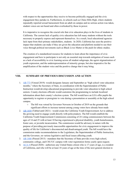with respect to the opportunities they receive to become politically engaged and the civic engagement they partake in. Furthermore, in schools such as Chino Hills High, where students repeatedly reported sexual harassment from an adult on campus and no serious action was taken, student voices are not heard and often overlooked by those in power.

It is imperative to recognize the crucial role that civic education plays in the lives of students in California. The current lack of quality civic education has left many students without the tools necessary to properly express and represent themselves. As a result, local educational agencies lack input from their primary stakeholders, students. In 2020, California has seen the positive impact that students can make if they are given the education and platform needed to use their voice through political movements such as Black Lives Matter or the push for ethnic studies.

The creation of a standardized resource for students to learn about the importance of civic engagement and how to participate is not only an essential step towards mitigation of issues such as a lack of accessibility to civic learning across all student subgroups, the ageist stigmatization of youth expression, and the underrepresentation of minority groups, but also imperative for the amplification of the student voice and the positive change that it may bring.

#### **VIII. SUMMARY OF PREVIOUS DISCUSSION AND ACTION**

- 1. AB [773](https://leginfo.legislature.ca.gov/faces/billTextClient.xhtml?bill_id=201920200AB773) (Vetoed 2019)- would designate January and September as "high school voter education months," where the Secretary of State, in coordination with the Superintendent of Public Instruction would develop educational programming to provide voter education to high school seniors. County elections officials would customize the programming to include localized information about their county's election system. The bill would have an LEA offer pupils the opportunity to register or preregister to vote during a presentation or assembly at the high school campus.
	- The bill was vetoed by Governor Newsom in October of 2019 on the grounds that significant efforts to increase turnout among young voters have already been made
- 2. AB [1858](https://leginfo.legislature.ca.gov/faces/billNavClient.xhtml?bill_id=201920200AB1858) (Tabled until 2021) would create the California Youth Empowerment Act to address the growing need to engage youth directly with policymakers. The bill would establish the California Youth Empowerment Commission consisting of 24 voting commissioners between the ages of 14 and 25 with at least 10 having experienced a physical disability, youth homelessness, foster care, or juvenile incarceration. The commission would be advisory in nature with the purpose of providing previously inaccessible opportunities for civic engagement to improve the quality of life for California's disconnected and disadvantaged youth. The bill would have the commission make recommendations to the Legislature, the Superintendent of Public Instruction, and the Governor, on various legislative and fiscal issues affecting youth.
- 3. AB [1446](https://leginfo.legislature.ca.gov/faces/codes_displaySection.xhtml?lawCode=ELEC§ionNum=2146.&article=3.5.&highlight=true&keyword=voter%20registration) (Passed 2015) mandates that the Secretary of State provide every high school, community college, and CSU/UC campus with voter registration forms yearly upon request.
- 4. [ACA](https://leginfo.legislature.ca.gov/faces/billTextClient.xhtml?bill_id=201920200ACA4) 4 (Passed 2020) authorizes any United States citizen who is 17 years of age, is a resident of California, and who will be at least 18 years of age at the time of the next general election to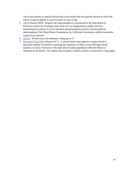vote in any primary or special election that occurs before the next general election in which the citizen would be eligible to vote if at least 18 years of age.

- 5. [AB](https://leginfo.legislature.ca.gov/faces/billNavClient.xhtml?bill_id=201720180AB24) 24 (Passed 2020) Requires the Superintendent to recommend to the State Board of Education criteria for awarding a State Seal of Civic Engagement to pupils who have demonstrated excellence in civics education and participation and have demonstrated an understanding of the United States Constitution, the California Constitution, and the democratic system of government
- 6.  $\angle ACA \&$  $\angle ACA \&$  $\angle ACA \&$  Would reduce the minimum voting age to 17
- 7. [Education](http://leginfo.legislature.ca.gov/faces/codes_displaySection.xhtml?lawCode=EDC§ionNum=35012.) Code 35012 (Passed 2017) A school district must appoint a student board of education member if a petition containing the signatures of either at least 500 high school students or at least 10 percent of the high school student population within the district is submitted to the district. The student board member would be entitled to preferential voting rights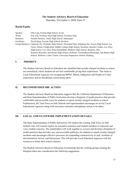#### **The Student Advisory Board of Education**

Thursday, November 5, 2020, Item #3

#### **Racial Equity**

| Speaker:     | Ellie Lian, Portola High School, Irvine                                                                 |
|--------------|---------------------------------------------------------------------------------------------------------|
| Writer:      | Erin Tak, Newbury Park High School, Newbury Park                                                        |
| Research:    | Estrella Pacheco, Analy High School, Sebastopol                                                         |
| Facilitator: | David Qing, Lincoln High School, Stockton                                                               |
|              | Group Members: Catherine Xu, Westlake High School, Thousand Oaks; Stephanie Hu, Tesoro High School, Las |
|              | Flores; Kimia Tofighi-Rad, Middle College High School, Stockton; Jennifer Cruden, Los Altos             |
|              | High School, Los Altos; Rana Banankhah, Modesto High School, Modesto; Max                               |
|              | Ramirez-Resendiz, San Benito High School, Hollister; Vicclaudiana Hernandez, San Benito High            |
|              | School, Hollister; Lamis Yassin, University Preparatory School, Redding                                 |

#### **I. PRIORITY**

The Student Advisory Board on Education has identified that racially charged incidents in school are normalized, where students do not feel comfortable giving their experiences. This leads to Local Educational Agencies not recognizing BIPOC (Black, Indigenous and People of Color) experiences and no disciplinary action being taken.

#### **II. RECOMMENDED SBE ACTION**

The Student Advisory Board on Education suggests that the California Department of Education and State Superintendent of Public Instruction develop a blueprint of model practices that provide comfortable and accessible ways for students to report racially charged incidents at school. Furthermore, the Task Force on Safe Schools and superintendent encourages its use by Local Educational Agencies along with necessary restorative disciplinary action to be taken.

#### **III. LOCAL AND STATEWIDE IMPLEMENTATION DETAILS**

The State Superintendent of Public Instruction will employ the existing Task Force on Safe Schools who will consult experts on restorative practices and student members to represent and voice student concerns. The stakeholders will work together to oversee and develop a blueprint of model practices that provides easy and accessible pathways for students to report racially charged incidents and encourages effective processes for responding constructively to said incidents of discrimination, racism, and harassment. This will provide Local Education Agencies with the resources to better their school climates.

The Student Advisory Board on Education recommends that the working groups creating the blueprint takes into consideration the following suggestions: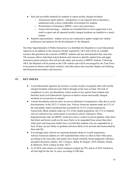- Safe and accessible methods for students to report racially charged incidents
	- Anonymous report options transparency is not required and an alternative method provides a more comfortable environment for students
	- Prioritization of listening to BIPOC voices and experiences
	- Assure and encourage students are reminded that no micro aggression is too small to report and all reported racially charged incidents are handled in a timely manner
- Students representation student surveys are conducted to gather insight into student preferences and opinions for the development of the blueprint

The State Superintendent of Public Instruction is to distribute the blueprint to Local Educational Agencies as an addition to the resources already required by AB 9 and will be an available resource that prioritizes the concerns of BIPOC students and any discrimination they may face. The resource allows individual school districts and schools to identify implicit bias and apply restorative justice practices that will provide safety and security to BIPOC students. Following AB 9, the blueprint will be posted on the CDE website and will be encouraged by the Task Force to be posted on district and school websites, and other places that currently display anti-bullying and harassment procedures and resources

#### **IV. KEY ISSUES**

- Local Educational Agencies do not have a system in place to properly deal with racially charged incidents which prevents follow through on the issue at hand. The lack of completion to carry out disciplinary action results in less reports from students and therefore lead Local Educational Agencies to believe racism and racially charged incidents are not present on campus.
- Current disciplinary policies show an uneven allotment of suspensions, often due to racial discrimination. In the 2012-13 school year, African American students made up 6.3% of the total public school enrollment but accounted for 16.2% of total suspensions. Nationwide, Black students make up 15% of the student population, but 31% of students who are referred to law [enforcement](https://www2.ed.gov/about/offices/list/ocr/docs/school-climate-and-safety.pdf) or arrested at school. (Edsource) These disproportionate rates for BIPOC youth have led to a school to prison pipeline. Data show that black and brown youth are far more likely to be [suspended](https://eric.ed.gov/?id=ED590845) from school than their white peers and [long-term](https://journals.sagepub.com/doi/abs/10.1177/0044118X17752208?journalCode=yasa) studies have revealed that students who are suspended for at least 10 days are less likely to graduate and more likely to be arrested and incarcerated by their mid-20s.
- Even though many schools are reporting dramatic drops in overall suspensions, African-American students are still suspended three times as often as their white peers, according to the state data, and studies have found culturally biased judgments influence discipline decisions (Adams, 2015; Gregory, Skiba, & Norguer, 2010; Hashim, Strunk, & Dhaliwal, 2018; Lindsay & Hart, 2017).
- As of 2018, hate crimes on school campuses jumped up 25% and as of 2019 reached an all time high for the last 16 years. according to FBI data.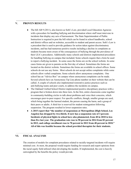#### **V. PROVEN RESULTS**

- The bill AB 9 (2011), also known as Seth's Law, provided Local Education Agencies with a procedure for handling bullying and discrimination where staff must intervene in incidents that display any acts of harrassment. The State Superintendent of Public Instruction is required to post the bill which can be found in school handbooks, school and district offices and on websites, accessible to student and parent access. Seth's Law is a precedent that is used to provide guidance for action taken against discriminatory incidents, and has had numerous positive results including a decline in complaints as students became more aware of the consequences of bullying through the prevalence of their LEA's procedures. Additionally many schools and districts implemented procedures for handling bullying on campus that included; Some schools require that a form be used to report a bullying incident. In some cases the forms are on the school website. In some cases forms are given to parents on the first day of school. Sometimes the forms are located on the district website. Sometimes the forms are available in school offices. Some schools do not use any forms. Most schools do not accept online complaints while some schools allow verbal complaints. Some schools allow anonymous complaints. One school has an "Advice Box" on campus where anonymous complaints can be made. Several schools have an Anonymous Tip Line phone number on their website that can be called. A couple of schools also implemented restorative justice practices such as anti-bullying teams and peer courts, to address the incidents on campus.
- The Oakland Unified School District implemented positive disciplinary practices with a program that is broken down into three tiers. In the first, entire classrooms come together in community-building circles to talk about problems and voice their concerns, which encourages peer-to-peer respect. For specific conflicts, though, smaller groups are used, which bring together the harmed student, the person causing the harm, and a group of their peers or adults. A third tier is reserved for student reintegration following suspension. The program resulted in lower suspension rates.
- **● A 2015 report that "the number of suspensions at Metropolitan [High School, Los Angeles] has dropped by two-thirds. It now has a suspension rate of 3 percent. Incidents of physical fights in school have also plummeted, from 40 in 2010 to less than five last year. The graduation rate rose to 90 percent in 2014 from 82 percent in 2012, and college enrollment rose to 70 percent in 2012 from 48 percent in 2010." All of this was feasible because the school provided therapists for their students.**

#### **VI. FISCAL ANALYSIS**

The creation of models for complaint procedures related to racially-targeted incidents will require minimal cost. At most, the proposal would require funding for research and expert opinions from the racial equity field utilized when developing the models. If implemented, the cost is heavily outweighed by the benefits the policy would provide.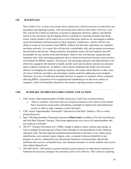#### **VII. RATIONALE**

Due to Seth's Law, we have seen trends where schools have utilized resources to create their own procedures and reporting systems, with some being more effective than others. However, even still, schools have failed on numerous occasions to adequately prioritize, address, and identify racism in the curriculum. By developing effective methods for reporting incidents and taking action, school climates will be improved as Local Education Agencies are encouraged to address racial discrimination and harrassment on their campuses. Furthermore, schools will have the ability to create an environment where BIPOC students feel that their experiences are validated and taken seriously. As a result, this will provide a comfortable, safe, and accepting environment that prioritizes anti-racism. Taking restorative disciplinary action will hold students and staff accountable for any racially-motivated incidents, which in turn will decrease suspension and expulsion rates while increasing graduation rates as school environments become a more positive environment for BIPOC students. This process will encourage educators and administration to be effectively equipped with material to handle racially-motivated incidents restoratively and push them to address it positively. In addition, when schools implement the model and it becomes effective in changing the culture in reporting incidents, then many school districts in other areas all across California can follow suit and adopt a similar model for addressing racist incidents. Therefore, the issue of ineffectual discipline and lack of response to incidents will be combated, allowing BIPOC experiences to be recognized and contributing to an anti-racist culture on campuses, which will hopefully diminish as the trend for reporting systems continue.

#### **VIII. SUMMARY OF PREVIOUS DISCUSSION AND ACTION**

- 1. CDE Action- State Superintendent of Public Instruction, Task Force on School Safety.
	- a. There is currently a task force that was created in response to the current social climate that is focused on racial justice and putting a spotlight on implicit bias and institutional racism, in order to make campuses a more safe place.
- 2. CDE Action- Superintendent Thurmond's "Education to End Hate" Initiative. This is a three prong led process.
- 3. Sept. 25th Superintendent Thurmond announced **Mini Grants** Available to Provide Anti-Racism and Anti-Bias Educator Training. These grant applications were sent to all superintendents and are worth up to \$20,000.
- 4. AB 537 "Violence Prevention Act" (2000)- Sought to address school violence and suicide, as well as mitigate the growing rate of hate crimes through several amendments to the California education code. This bill explicitly prohibited discrimination on the basis of sex, ethnic group identification, race, national origin, religion, color, or mental or physical disability in any program or activity conducted by any educational institution or postsecondary educational institution that receives, or benefits from, state financial assistance or enrolls students who receive state student financial aid.
- 5. AB 2489 (2016) Bill analyzes current restorative justice practices in educational institutions to formulate the necessary strategies for restorative justice to be effective. This is done by requiring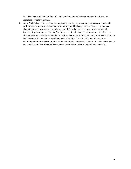the CDE to consult stakeholders of schools and create models/recommendations for schools regarding restorative justice.

6. AB 9 "Seth's Law" (2011)-This bill made it so that Local Education Agencies are required to prohibit discrimination, harassment, intimidation, and bullying based on actual or perceived characteristics. It also made it mandatory for LEAs to have a procedure for receiving and investigating incidents and for staff to intervene in incidents of discrimination and bullying. It also requires the State Superintendent of Public Instruction to post, and annually update, on his or her Internet Web site, and to provide to each school district, a list of statewide resources, including community-based organizations, that provide support to youth who have been subjected to school-based discrimination, harassment, intimidation, or bullying, and their families.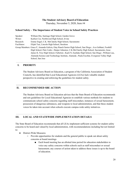#### **The Student Advisory Board of Education**

Thursday, November 5, 2020, Item #4

#### **School Safety – The Importance of Student Voice in School Safety Practices**

| Speaker:     | William Hin, Santiago High School, Garden Grove                                                         |
|--------------|---------------------------------------------------------------------------------------------------------|
| Writer:      | Kaitlyn Cui, Northwood High School, Irvine                                                              |
| Research:    | Emme Engel, C.K. McClatchy High School, Sacramento                                                      |
| Facilitator: | Elijah Tsai, Lincoln High School, Stockton                                                              |
|              | Group Members: Grace F, Amanda Galicia, Otay Ranch Senior High School, San Diego; Ava Gebhart, Foothill |
|              | High School, Palo Cedro; Harper Johnston, C.K.McClatchy High School, Sacramento; Jesse                  |
|              | James II, Troy High School, Fullerton; Kaeli N, Eastlake High School, San Diego; William Lau,           |
|              | Alameda Science and Technology Institute, Alameda; Paula Escobar, Evergreen Valley High                 |
|              | School, San Jose                                                                                        |

#### **I. PRIORITY**

The Student Advisory Board on Education, a program of the California Association of Student Councils, has identified that Local Educational Agencies (LEAs) lack valuable student perspective in creating and enforcing the guidelines for student safety.

#### **II. RECOMMENDED SBE ACTION**

The Student Advisory Board on Education advises that the State Board of Education recommends and sets guidelines for Local Educational Agencies to establish various methods for students to communicate school safety concerns regarding staff misconduct, instances of sexual harassment, possession of dangerous substances, and weapons to local administration, and that these student voices be taken into account when schools execute campus-wide safety initiatives.

#### **III. LOCAL AND STATEWIDE IMPLEMENTATION DETAILS**

The State Board of Education recommends that all LEAs implement sufficient systems for student safety concerns to be heard and valued by local administration, with recommendations including but not limited to:

- District-Wide Measures
	- Provide opportunities for students and the general public to speak out about safety concerns at board meetings
		- Each board meeting has an allotted time period for education stakeholders to voice any safety concerns within schools such as staff misconduct or sexual harassment; any courses of action taken to address these issues is up to the board of education.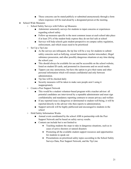- These concerns can be stated publicly or submitted anonymously through a form where responses will be read aloud by a designated person at the meeting.
- School-Wide Measures
	- School Safety Surveys with Follow up Measures
		- Administer semesterly surveys for students to input concerns or experiences regarding school safety
		- Follow up measures specific to the most common issues at each school take place if at least 25% of the student body express they do not feel safe at school
		- Surveys will help schools gain student perspective on campus safety regulation, enforcement, and which issues need to be prioritized
	- Set Up a Tip Line
		- As the surveys are infrequent, the tip line will be a way for students to submit safety concerns such as bullying, sexual harassment, teacher misconduct, illegal substance possession, and other possibly dangerous situations at any time during the school year.
		- This should always be available for use and be accessible on the school website, listed on student ID cards, and promoted in classrooms and on social media.
		- Tippers can stay anonymous, but have the option to give their name and other personal information which will remain confidential and only between administration.
		- Tip line will be checked daily
		- Security measures will be taken to make sure people aren't using it inappropriately
	- Create a Peer Support Network
		- This would be a student volunteer-based program with a teacher advisor: all potential candidates are interviewed by a reputable administrator and must sign confidentiality and mandatory reporting contracts to ensure privacy and welfare
		- If any reported issue is dangerous or detrimental to student well-being, it will be reported directly to the advisor who then reports to administration.
		- Support network will be highly publicized and encouraged to students in the school
	- **○** Hold Safety Information Weeks
		- Annual event coordinated by the school ASB in partnership with the Peer Support Network and be based on safety survey results.
		- Content can include but is not limited to:
			- **●** Teaching students the steps to take in dangerous situations, such as in cases of active shooters or natural disasters
			- **●** Promoting all the available student support resources and opportunities for students to speak out
			- **●** Presentations on prioritized safety topics according to the School Safety Surveys Data, Peer Support Network, and the Tip Line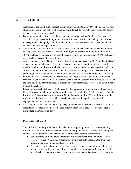#### **IV. KEY ISSUES**

- According to the Youth Truth Student Survey conducted in 2018, only 59% of students feel safe at school in general, and 31% of all surveyed students feel they must be ready to fight to defend themselves at least somewhat often.
- Bullying has a major influence on the mental and emotional health of students. Students aged 12-18 have experienced bullying in their academic career (20%) in 2017. Along with 28.9% of LGBTQ Students being physically bullied and 70.2% have been verbally harassed, which has hindered their academic performance.
- According to a CDC report in 2013, 21% of high-school students have mentioned they reported missing school because of safety concerns from digital or physical bullying. In 2016 roughly 18.5% of students said they missed school because of bullying on campus and 10.5% of students missed school because of cyberbullying.
- A study published by the National Criminal Justice Reference Service in 2017 found that 83% of school employees and students they interviewed were unable to identify a policy at their district specific to school employee sexual misconduct, said the district did not have a policy in place, or omitted policies from their definition. This illustrates a lack of emphasis placed on education pertaining to current sexual harassment policies, which has a detrimental effect on school safety.
- In 2018, the U.S. Department of Education received 135,600 cases of bullying or harassment from school children in the 2015-16 academic year. Forty-one percent were bullied or harassed on the basis of sex, 22 percent on race, 16 percent on sexual orientation, 11 percent on disability and 8 percent on religion.
- Research indicates that students who believe they have a voice in school are seven times more likely to be academically motivated than students who do not believe they have a voice (Quaglia Institute for School Voice and Aspirations, 2016). According to this 239 school, 14 state study, student voice leads to an increased likelihood that students will experience self-worth, engagement, and purpose in school.
- According to a 2016 study conducted by the Quaglia Institute for School Voice and Aspirations, students are 7x times more likely to be academically motivated if they feel like their voice is being heard than those who don't.

#### V. **PROVEN RESULTS**

There is limited publicly available statistical evidence regarding the success of incorporating student voices in school safety measures. However, every member of our delegation has agreed that the following methods are beneficial in fostering a safe learning environment:

- San Francisco Unified School District has had a partnership with San Francisco Peer Resources since 1979. In this program they train students to engage, tutor, train, and advocate for other young people successfully.
- At Santiago High School in Garden Grove, Orange County, students were able to utilize an anonymous tip line, accessed through a number on every student ID card and on the school website, to report safety concerns to the school administration. This tip line was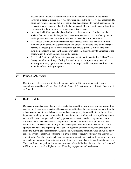checked daily, in which the administration followed up on reports with the parties involved in order to ensure that it was serious and needed to be resolved or addressed. By being anonymous, students felt more inclined and comfortable to submit questionable or concerning safety concerns that they had experienced. Most of the students utilized this platform seriously in order to report pressing safety concerns.

- Los Angeles Unified opened a phone hotline to help students and families ease the anxiety, fear, and other challenges from the current pandemic. It was staffed by mental health professionals and counselors. It is open on weekdays from 6am-6pm.
- At Alameda Unified, normal board meetings consisted of the President of the Board, members of the board, the superintendent, and other chief officers, who are in charge of running the meeting. Then, anyone from the public was given a 3 minute time limit to state their concerns to the board. Emails were also sent anonymously to a member of the board, which then was read out during the meeting.
- At C.K. McClatchy High School students were able to participate in Red Ribbon Week through a multitude of ways. During this week they had the opportunity to attend anti-drug seminars, sign a promise to 'say no to drugs', and have open class discussions about the effects of drugs on youth.

#### **VI. FISCAL ANALYSIS**

Creating and enforcing the guidelines for student safety will incur minimal cost. The only expenditure would be staff time from the State Board of Education or the California Department of Education.

#### **VII. RATIONALE**

Our recommended courses of action offer students a straightforward way of communicating their concerns with their local educational legislative body. Students have direct experience within the school system that other stakeholders lack and are most greatly impacted by the policies LEAs implement, making them the most valuable voice in regards to school safety. Amplifying student voices will ensure changes made to safety procedures accurately address urgent concerns we students have in the most efficient way possible. Student submissions through our proposed methods will not be restricted to only address one aspect of school safety, meaning that these opinions can be used to improve policies concerning many different topics, including but not limited to bullying to staff misconduct. Additionally, increasing communication of student safety concerns within schools will contribute to a greater sense of security, empathy, and unity in the student body. Providing youth such accessible opportunities to express their thoughts and actively create change increases their satisfaction with the methods schools use to handle safety concerns. This contributes to a positive learning environment where individuals have a heightened sense of self-importance as well as higher levels of learning engagement and motivation.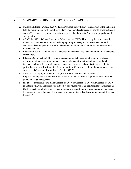#### **VIII. SUMMARY OF PREVIOUS DISCUSSION AND ACTION**

- a. California Education Codes 32280-32289.9: "School Safety Plans"- This section of the California lists the requirements for School Safety Plans. This includes standards on how to prepare students and staff on how to properly execute disaster protocol and train staff on how to properly handle emergencies.
- b. AB 493 in 2019: "Safe and Supportive Schools Act of 2019"- This act requires teachers and school personnel receive an annual training regarding LGBTQ School Resources. As well, teachers and school personnel are trained on how to maintain confidentiality and better support LGBTQ students.
- c. Education Code 32282 mandates that schools update their Safety Plan annually with all mandated information.
- d. Education Code Section 234.1: lays out the requirements to ensure that school districts are working to reduce discrimination, harassment, violence, intimidation and bullying, thereby increasing school safety for all students. Under this law, every school district must: Adopt a policy that prohibits discrimination, harassment, intimidation, and bullying based on your actual or perceived characteristics set forth in Section 422.55.
- e. California Sex Equity in Education Act, California Education Code sections 221.5-231.5. Requires that any educational institution in the State of California is required to have a written policy on sexual harassment.
- f. HR-59: House resolution to make October 23, 2019, to October 31, 2019 and October 23, 2020, to October 31, 2020 California Red Ribbon Week. "Resolved, That the Assembly encourages all Californians to help build drug-free communities and to participate in drug prevention activities by making a visible statement that we are firmly committed to healthy, productive, and drug-free lifestyles."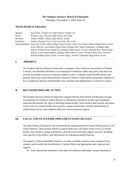#### **The Student Advisory Board of Education**

Thursday, November 5, 2020, Item #5

#### **Mental Health in Education**

| Speaker:     | Karina Pan, Temple City High School, Temple City                                                              |
|--------------|---------------------------------------------------------------------------------------------------------------|
| Writer:      | Kristina Lopez, Ramona High School, Riverside                                                                 |
| Research:    | Audrey Mallah, Albany High School, Albany                                                                     |
| Facilitator: | Isaiah Colmenero, New York University, New York                                                               |
|              | Group Members: Aaron Jin, Crean Lutheran High School, Irvine; Claire Lee, Crean Lutheran High School, Irvine; |
|              | Kylie Sullivan, Ann Sobrato High School, Morgan Hill; Meera Chakradeo, Northgate High                         |
|              | School, Walnut Creek; Megan Cai, Santiago High School, Corona; Michelle Kim, Portola High                     |
|              | School, Irvine; Sanya Dhama, Santiago High School, Corona; Wismick Saint-Jean, Arnold O.                      |
|              | Beckman High School, Irvine; Yvonne Seung, Arnold O. Beckman High School, Irvine                              |

#### **I. PRIORITY**

The Student Advisory Board on Education, a program of the California Association of Student Councils, has identified that there is an inadequate foundation within state policy that does not provide accessible resources to educate students on how to identify mental health decline and general school site social and emotional resources. Posters would inform and prepare students on how to approach specific mental health crises carefully and appropriately in and out of school.

#### **II. RECOMMENDED SBE ACTION**

The Student Advisory Board on Education suggests that the State Board of Education strongly recommends all California school districts to implement informative posters and transparent materials that identify the signs of declining mental health. These posters shall include safe plans in the event of a mental health crisis, positive coping mechanisms, and the identification of school-based services that students utilize for social-emotional support.

#### **III. LOCAL AND STATEWIDE IMPLEMENTATION DETAILS**

The State Board of Education will recommend the implementation of mental health posters to all school districts. These posters should recognize behaviors, safe plans in the event of a mental health crisis, positive coping mechanisms, general social-emotional support services, including ones specific to the district, and information on widespread mental illnesses.

The purpose of these identifiable posters is to make available resources more transparent for students and to enable the identification of mental illness and appropriate peer response and support.

● Each educational institution in the State of California shall adopt content standards in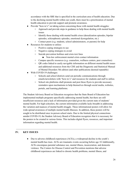accordance with the SBE that is specified in the curriculum area of health education. Due to the declining mental health within our youth, there must be a prioritization of mental health education to provide support and promote awareness.

- Provide "how-to's" on taking action concerning those with mental health struggles:
	- Approach and provide steps in guidance to help those dealing with mental health issues
	- Identify those dealing with mental health crises (derealization episodes, bipolar episodes, schizophrenic episodes, emotional dysregulation, etc.)
	- Contact peers (e.g. students, school administrators, or parents) for help
- Resources for students to utilize:
	- Positive coping strategies to use
	- Negative coping strategies to avoid
	- Suicide prevention hotlines and crisis text lines
		- Non-law enforcement mental crisis contact information
	- Campus specific resources (e.g. counselors, wellness centers, peer counselors)
	- QR codes linked to easily navigable information on different mental health issues and additional resources from the CDE and the Diagnostic and Statistical Manual of Mental Disorders 5th edition (and other publications deemed reputable)
- With COVID-19 challenges:
	- Schools and school districts send out periodic communications through emails/newsletters with "how-to's" and resources for students and staff to utilize.
	- School site platforms shall promote and post these flyers to provide necessary reminders upon mechanisms to help themselves through social media, websites, portals, and learning platforms.

The Student Advisory Board on Education recognizes that the State Board of Education has implemented multiple programs specifically addressing mental health, but there are still insufficient resources and a lack of information provided given the current state of students' mental health. For high-schoolers, the current information available lacks breadth in addressing the variation and nuances of mental health struggle. These informational posters will allow for wide-spread awareness of multiple mental health illnesses. In addition, these posters will be sought to be distributed once in-person school starts. Due to the limited physical connections amidst COVID-19, the Student Advisory Board of Education recognizes that it is necessary for the posters to be created in various forms. This includes digital flyers, resources, and important information regarding mental health.

#### **IV. KEY ISSUES**

• Due to adverse childhood experiences (ACEs), a widespread decline in the youth's mental health has risen. ACEs are traumatic events occurring before age 18 Additionally, ACEs encompass parental substance use, mental illness, incarceration, and domestic violence. The Centers for Disease Control and Prevention mentions that adverse childhood experiences are linked to chronic health problems, mental illness, and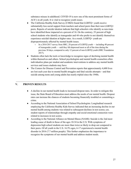substance misuse in adulthood. COVID-19 is now one of the most prominent forms of ACE's in all youth. It is vital to recognize youth issues.

- The California Healthy Kids Survey (CHKS) found that LGBTQ+ youth receive substantially less social support from teachers and school peers than their non-LGBTQ+ peers. Reports of suicide ideation indicate that high schoolers who identify as non-trans have identified those impacted at a percent of 16. On the contrary, 53 percent of high school students who identify as transgender and 44 who prefer to not identify themselves experience suicidal ideation at higher rates. As a result, LGBTQ+ youth are disproportionately affected by mental health issues.
	- In a 2016-2017 survey from HRC, 28 percent of LGBTQ youth including 40 percent of transgender youth — said they felt depressed most or all of the time during the previous 30 days, compared to only 12 percent of non-LGBTQ youth (HRC Foundation 2017).
- Students often lack the tools or knowledge to recognize signs of declining mental health within themselves and others. School psychologists and mental health counselors often individualize plans per student and academic interventions to address any mental health services and issues students may have.
- The Centers for Disease Control and Prevention reports that approximately 4,600 lives are lost each year due to mental health struggles and fatal suicide attempts—and that suicide among teens and young adults has nearly tripled since the 1940s.

#### **V. PROVEN RESULTS**

- A decline in our mental health leads to increased dropout rates. In order to mitigate this issue, the State Board of Education must address the needs of our mental health. Dropout rates can increase the chances of students becoming financially troubled or committing a crime.
- According to the National Association of School Psychologists: Longitudinal research employing the California Healthy Kids Survey indicated that an increasing decline in our mental health among students was related to subsequent declines in test scores; yet, student reports of relationships through empathy and social-emotional connection were related to increases in test scores.
- According to the National Alliance on Mental Illness (NAMI): Suicide is the 2nd most leading cause of death in those of the ages 10-34 in the U.S. With symptoms of depression high school students are more than twice as likely to drop out compared to their peers. Of all youth in the U.S. 16.5% ages, 6-17 experienced a mental health disorder in 2016 (7.7 million people). This further emphasizes the importance to recognize the symptoms of our mental health and address student needs.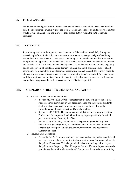#### **VI. FISCAL ANALYSIS**

While recommending that school districts post mental health posters within each specific school site, the implementation would require the State Board of Education to uphold no costs. The state would assume minimal costs and allow for each school district within the state to provide resources.

#### **VII. RATIONALE**

In promoting resources through the posters, students will be enabled to seek help through an accessible platform. Students have the necessary information to recognize signs of declining mental health in themselves and their peers, which may promote early and positive intervention. will provide an opportunity for students who have mental health issues to be encouraged to reach out for help. Also, it will help students identify mental health decline. Posters are most engaging and as 65% percent of people are visual learners, children and youth are more likely to absorb information from them than a long lecture or speech. Due to great accessibility to many students, at once, and can create a larger impact in a shorter amount of time, The Student Advisory Board on Education trusts that the State Board of Education will aid students in engaging with experts and will develop posters that will be as accurate and effective as possible.

#### **VIII. SUMMARY OF PREVIOUS DISCUSSION AND ACTION**

- A. Past Education Code Implementations:
	- Section 51210.8 (2005-2006) Mandates that the SBE will adopt the content standards in the curriculum area of health education and the content standards shall provide a framework for instruction that a school may offer in the curriculum area of health education. Currently in effect.
	- $\circ$  Section 41533 (2013) This authorizes school districts to use a portion of their Professional Development Block Grant funding to pay specifically for suicide prevention training. Currently in effect.
	- Section 215 (2015-2016) Mandates that the governing board of any local educational Agencies (LEA's) that serves students in grades seven to twelve adopts a policy on pupil suicide prevention, intervention, and postvention. Currently in effect.
- B. Previous State Legislation:
	- $\circ$  Assembly Bill 2639 requires schools that serve students in grades seven through twelve to review policies on pupil suicide prevention every five years and update the policy, if necessary. This also permits local educational agencies to update the policy more frequently. The bill requires that specific local implementation is geared towards at-risk students and that LEA approve the criteria for identifying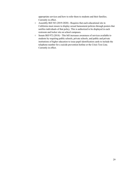appropriate services and how to refer them to students and their families. Currently in effect.

- Assembly Bill 543 (2019-2020) Requires that each educational site in California must ensure to display sexual harassment policies through posters that notifies individuals of that policy. This is authorized to be displayed in each restroom and locker site on school campuses.
- Senate Bill 972 (2018) This bill increases awareness of services available to students by requiring public schools, private schools, and public and private institutions of higher education to issue pupil identification cards to include the telephone number for a suicide prevention hotline or the Crisis Text Line. Currently in effect.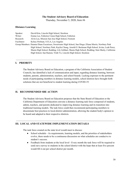#### **The Student Advisory Board of Education**

Thursday, November 5, 2020, Item #6

#### **Distance Learning**

| Speaker:     | David Kim, Lincoln High School, Stockton                                                               |
|--------------|--------------------------------------------------------------------------------------------------------|
| Writer:      | Emma Lee, Fullerton Union High School, Fullerton                                                       |
| Research:    | Alvin Lee, Mission San Jose High School, Fremont                                                       |
| Facilitator: | Kelsey Perlman, UCLA, Los Angeles                                                                      |
|              | Group Members: Deanna Diane Escarieses, Sweetwater High School, San Diego; Eliana Morris, Newbury Park |
|              | High School, Newbury Park; Kaylin Chung, Arnold O. Beckman High School, Irvine; Leah Perez,            |
|              | Shasta High School, Redding; Lily Gebhart, Shasta High School, Redding; Simi Shetty, California        |
|              | High School, San Ramon; Trinh Vo, Lincoln High School, Stockton                                        |

#### **I. PRIORITY**

The Student Advisory Board on Education, a program of the California Association of Student Councils, has identified a lack of communication and input, regarding distance learning, between students, parents, administration, teachers, and school boards. Lacking exposure to the pertinent needs of participating members in distance learning models, school districts have brought forth solutions that are not beneficial to student learning during COVID-19.

#### **II. RECOMMENDED SBE ACTION**

The Student Advisory Board on Education proposes that the State Board of Education or the California Department of Education convene a distance learning task force composed of students, admin, teachers, and parents dedicated to improving distance learning and its transition into traditional learning models. The task force could then recommend participating members to disseminate best practices to local-district administration, allowing the student body's opinion to be heard and adapted to their respective districts.

#### **III. LOCAL AND STATEWIDE IMPLEMENTATION DETAILS**

The task force created on the state level would meet to discuss:

- School schedule As requirements, learning models, and the priorities of stakeholders evolve, there needs to be a continuous discussion on what schedules are conducive to student's success.
- Feedback from students at the local level Every month the task force will be required to send out a survey to students in the school district with the hope that at least five percent would fill it out per school district per month.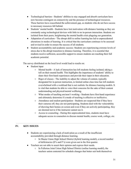- Technological barriers Students' abilities to stay engaged and absorb curriculum have now become contingent on connectivity and the presence of technological resources. These barriers have exacerbated the achievement gap, as students who do not have access to necessary resources fall behind.
- Students' mental health Students have lost motivation with distance learning as they are constantly using technological devices with little to no in-person interaction. Students are isolated from their peers, heightening the mental health crisis plaguing our generation.
- Adaptation of curriculum The abrupt shift to online learning has led to unprecedented alterations in modes of learning. It is critical that the curriculum continues to be assessed and revised in order to ensure the success of all students.
- Student accountability and academic success- Students are experiencing extreme levels of stress due to the abrupt transition to distance learning. Therefore, it is essential that students receive sufficient, accessible support to ensure students are reaching their full academic potential.

The survey distributed on the local level would lead to results on:

- Student input
	- Mental health A lack of interaction has left students feeling isolated, taking a toll on their mental health. This highlights the importance of students' ability to share their first-hand experiences and provide their input in their education.
	- Rigor of classes The inability to adjust the volume of content, typically designated for in-person instruction, to limited online class time has left students overwhelmed with a workload that is not realistic for distance learning models. It is vital that students be able to voice their concerns for the sake of their content understanding and physical/mental wellbeing.
	- What modes of teaching are/aren't working Students have first-hand experience and ultimately determine if a mode of teaching is effective or ineffective.
	- Attendance and student participation Students are suspected that if they have their cameras off, they are not participating. Students deal with the vulnerability of showing their homes on screen and even if they are actively participating, they are deemed not to if the instructor cannot see it.
	- $\circ$  Access to counseling During this unprecedented time, students must have adequate access to counselors to discuss mental health, course work, college, etc.

#### **IV. KEY ISSUES**

- Students are experiencing a lack of motivation as a result of the insufficient accountability provided through distance learning.
	- In Shasta Union High School District (hybrid learning model), a record number of deficiencies (D's and F's) were given out in the first quarter.
- Teachers are not able to assert their opinion and express their needs.
	- In Fullerton Joint Union High School District (online learning model), the teachers union contested for schedule changes that better suit both themselves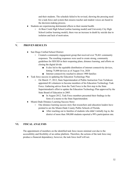and their students. The schedule failed to be revised, showing the pressing need for a task-force and system that ensures teacher and student voices are heard in the decision-making process.

- Students are experiencing detrimental effects to their mental health.
	- At Bear Creek High School (online learning model) and University City High School (online learning model), there was an increase in death by suicide due to isolation and lack of motivation.

#### **V. PROVEN RESULTS**

- San Diego Unified School District:
	- Created a community engagement group that received over 70,461 community responses. The resulting responses were used to create strong, community guidelines for SDUSD in their reopening plans, distance learning, and efforts on closing the digital divide
		- It also led to the equitable distribution of internet connectivity devices, hitting 75,000 devices as of August 31st, 2020
		- Internet connectivity reached to almost 1900 families
- Task force success in updating the Education Technology Plan
	- On March 17, 2012, State Superintendent of Public Instruction Tom Torlakson appointed 48 volunteers to become members of his Education Technology Task Force. Gathering advice from the Task Force is the first step in the State Superintendent's effort to update the Education Technology Plan approved by the State Board of Education in 2005.
		- In August 2012, Task Force members presented their findings in the form of a memo to the State Superintendent.
- Miami-Dade Distance Learning Success Story:
	- One distance learning success story that researchers and education leaders have pointed to are the Miami-Dade County Public Schools of Florida.
		- After reaching out to families of students who didn't initially log in, the district of more than 300,000 students reported a 99% participation rate.

#### **VI. FISCAL ANALYSIS**

The appointment of members on the identified task force incurs minimal cost due to the accessibility and flexibility of an online platform. Therefore, the actions of the task force may produce a financial dependency; however, the task force itself will not.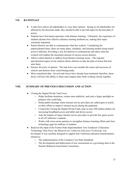#### **VII. RATIONALE**

- A task force allows all stakeholders to voice their opinion Seeing as all stakeholders are affected by the decisions made, they should be able to provide input for the best plan of action.
- Students have first-hand experience with distance learning Ultimately, the experience of students dictates how effective distance learning methods are, making their input extremely important.
- School districts are able to communicate what has worked Considering the unprecedented times, there are many plans, schedules, and learning models being tested across California. Providing a way for districts to communicate and share what has worked well enables the maximum amount of success across districts.
- Allows school districts to address local distance learning issues The regional specialization aspect of our solution allows districts to take the plan of action that best suits them.
- Ensures diversity of opinion The task force can consider the issues and successes of schools and districts from varied backgrounds.
- More centralized data Several task forces have already been instituted; therefore, these forces will have the ability to share and compare data while working closely together.

#### **VIII. SUMMARY OF PREVIOUS DISCUSSION AND ACTION**

- Closing the Digital Divide Task Force:
	- Helps facilitate donations, creates more publicity, and casts a larger spotlight on partners who could help.
	- Holds public hearings where internet service providers are called upon to testify on their efforts to improve internet access during the pandemic.
	- Created the Closing the Digital Divide Fund; aims to raise 500 million dollars for increasing broadband access and tablet and device access
	- Asks the leaders of major internet service providers to provide free guest access to all of California's students.
	- Works with cross-sector partners to strengthen distance learning efforts and close technology gaps for millions of students.
- Based on the input of the Former State Superintendent Tom Torlakson's Education Technology Task Force: the *Blueprint for California Education Technology* was developed. It was carefully designed to support four California education transformation initiatives:
	- The implementation of the Common Core State Standards.
	- The development and deployment of new assessments as a governing state in the Smarter Balanced Assessment Consortium.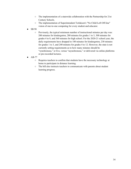- The implementation of a statewide collaboration with the Partnership for 21st Century Schools.
- The implementation of Superintendent Torlakson's "No Child Left Off-line" vision of one-to-one computing for every student and educator.
- SB 98
	- Previously, the typical minimum number of [instructional](https://www.cde.ca.gov/fg/aa/pa/instructionaltimetable.asp) minutes per day was: 200 minutes for kindergarten, 280 minutes for grades 1 to 3, 300 minutes for grades 4 to 8, and 360 minutes for high school. For the 2020-21 school year, the daily requirements have dropped to 180 minutes for kindergarten, 230 minutes for grades 1 to 3, and 240 minutes for grades 4 to 12. However, the state is not currently setting requirements as to how many minutes should be "synchronous," or live, versus "asynchronous," or delivered via online platforms or pre-recorded lectures.
- AB-77
	- Requires teachers to confirm that students have the necessary technology at home to participate in distance learning.
	- The bill also instructs teachers to communicate with parents about student learning progress.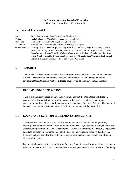#### **The Student Advisory Board of Education**

Thursday, November 5, 2020, Item #7

#### **Environmental Sustainability**

| Speaker:     | Adalia Luo, Newbury Park High School, Newbury Park                                                          |
|--------------|-------------------------------------------------------------------------------------------------------------|
| Writer:      | Neela Mohanpuhr, The College Preparatory School, Oakland                                                    |
| Research:    | Heidi Andrade, San Benito High School, San Benito                                                           |
| Facilitator: | Kenneth Kim, University of Southern California, Los Angeles                                                 |
|              | Group Members: Kennedy Delaney, Shasta High, Redding; Talia Schwartz, Analy High, Sebastopol; Dhilan Patel, |
|              | Newbury Park High School, Newbury Park; Julia Cristiano, Oak Park High School, Oak Park;                    |
|              | Batya Bimstein, Bonita Vista High School, Chula Vista; Anish Patel, Woodbridge High School,                 |
|              | Irvine; Yun Seo Lee, Northwood High School, Irvine; Alexander Fan, Centennial High School,                  |
|              | Bakersfield; Sydney Sutton, Foothill High School, Palo Cedro                                                |

#### **I. PRIORITY**

The Student Advisory Board on Education, a program of the California Association of Student Councils, has identified that there is an insufficient number of statewide regulations for environmental sustainability that are enforced equitably on all local educational agencies.

#### **II. RECOMMENDED SBE ACTION**

The Student Advisory Board on Education recommends that the State Board of Education encourage California districts to develop district-wide Green District Advisory Councils consisting of students, district staff, and community members. The Green Advisory Councils will be in charge of leading sustainable initiatives to be implemented at the district level.

#### **III. LOCAL AND STATEWIDE IMPLEMENTATION DETAILS**

A member of a Green District Advisory Council must dedicate time to attending monthly meetings, providing recommendations on new building projects, vocalizing insight, and ensuring stakeholder representation as well as testimonials. Within these monthly meetings, we suggest the agenda to consider: implementation of certified eco-friendly cleaning products, hand dryers, hydration stations, low-flow toilets, tri-bin systems, water aerators, solar panels, and other types of renewable energy.

For the initial creation of the Green District Advisory Council, each district board must conduct a selection process to chair a total nine members, five being General Representatives and four being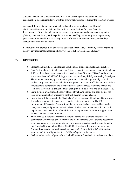students. General and student members must meet district-specific requirements for consideration. Each representative will then answer set questions to further the selection process.

A General Representative, an individual graduated from high school, should satisfy district-specific requirements to qualify for these Green District Advisory Councils. Recommended fittings include: work experience in government land management agencies (federal, state, and local), work experience with park staffing, community service promoting positive environmental impacts, history of impactful environmental advocacy, and college accredited environmental courses.

Each student will provide a list of personal qualifications such as, community service regarding positive environmental impacts and history of impactful environmental advocacy.

#### **IV. KEY ISSUES**

- Students and faculty are uninformed about climate change and sustainable practices.
- Penn State and the National Center for Science Education conducted a study that included 1,500 public school teachers and science teachers from 50 states. 70% of middle school science teachers and 87% of biology teachers reported only briefly addressing the subject. Therefore, students only get minimal exposure to climate change, and high school students only hear about it once in their four years. This is an insufficient amount of time for students to comprehend the speed and severe consequences of climate change and learn how they can help prevent climate change in their daily lives and on a larger scale.
- Some districts are disproportionately affected by climate change and each district has their own individual set of issues to deal with besides climate change.
- Inner cities will be subject to the "heat island" effect because of heightened temperatures due to large amounts of asphalt and concrete. A study supported by The U.S. Environmental Protection Agency found that high heat leads to increased heat stroke rates, heat stress, and premature death. These districts need immediate action and will require their own specific set of conditions to be implemented in order to support their students and help the environment.
- There are also different concerns in different districts. For example, recently, the Sacramento City Unified School District and the Sacramento City Teachers Association were negotiating over curriculum, testing, and special education. At the same time, the Los Angeles Unified School District(LAUSD) struggles with a low completion rate. Around three quarters through the school year in 2019, only 49% of LAUSD students were on track to be eligible to attend California's public universities.
- Lack of authorization of protocols to deal with sustained methods of environmentalism.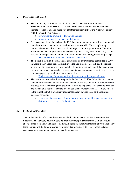#### **V. PROVEN RESULTS**

- The Culver City Unified School District (CCUD) created an Environmental Sustainability Committee (ESC). The ESC has been able to offer free environmental training for kids. They also made sure that their district went back to renewable energy with the Clean Power Alliance.
	- [Environmental](https://www.ccusd.org/apps/pages/index.jsp?uREC_ID=173190&type=d&pREC_ID=357421) Committee for CCUD District
	- Meeting minutes Listing [Accomplishments](https://4.files.edl.io/273b/06/04/20/162438-8563488c-ea9a-4971-a195-eb176b88912a.pdf)
- At Greenacres Elementary school, the PTA began implementing multiple environmental initiatives to teach students about environmental stewardship. For example, they introduced compost bins to their school and began composting food scraps. The school also implemented compostable serve ware during lunch. They saved around 10,000 lbs, per year, of compostable materials from going into landfills through these simple steps.
	- PTA with an [Environmental](https://www.scarsdaleschools.k12.ny.us/Page/6105) Committee subsection
- The British School in the Netherlands established an environmental committee in 2009. In just five short years, the school achieved the Eco-Schools' Green Flag, the highest achievement in environmental sustainability for an international school. To accomplish this, a school must, among other projects, maintain an eco-garden, organize Green Days, eliminate paper cups, and introduce water bottles.
	- [Environmental](https://www.britishschool.nl/school-life/co-curricular-activities/eco-committee) Committee with achievements meriting a special award
- The creation of a sustainability program in the Oak Park Unified School District has led to many improvements in environmental awareness and sustainability. A straightforward step they have taken through the program has been to stop using toxic cleaning products and instead only use those that are labeled eco-safe by GreenGuard. Also, every student in the school district is taught environmental literacy through their next-generation science instruction.
	- [Environmental](https://www.oakparkusd.org/Page/10482) Awareness Committee with several notable achievements, first district to receive Green [Ribbon](https://www.oakparkusd.org/Page/10482) in CA

#### **VI. FISCAL ANALYSIS**

The implementation of a council requires no additional cost to the California State Board of Education. The advisory council would be financially independent from the CDE and would allocate funds from individual school districts. In addition, the sustainable initiatives designed by these councils will be funds allocated from individual districts, with socioeconomic status considered as to the implementation of specific initiatives.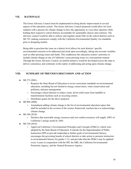#### **VII. RATIONALE**

The Green Advisory Council must be implemented to bring drastic improvement in several aspects of the education system. The Green Advisory Council proposed would allow for local students with a passion for climate change to have the opportunity to voice their opinions while holding their respective school districts accountable for sustainable choices and contracts. The advisory council would be able to enforce and regulate senate bills on the school districts such as SB 743, making contractors comply with the California Environmental Quality Act standards prior to designing models.

Being able to proclaim the issue on a district level allows for each districts' specific environmental concerns to be addressed and acted upon accordingly, taking into account variables such as other pressing issues and funds. This readdresses the education system's priorities to include climate change as one of California's most pressing issues in a non-partisan manner. Through the Green Advisory Council, an unified initiative would be developed across the state to deliver consistency and continuity in the matter of addressing and acting upon climate change.

#### **VIII. SUMMARY OF PREVIOUS DISCUSSION AND ACTION**

- SB 373 (2001)
	- Requires the State Board of Education to revise curriculum standards on environmental education, including but not limited to energy conservation, water conservation and pollution, and pest management.
	- Encourages school districts to reduce waste, divert solid waste from landfills to transformation facilities such as recycling centers.
	- Distributes grants for the above purposes
- SB 908 (2008)
	- Amendment adding climate change to the list of environmental education topics that shall be included in the revision of the science framework, teachers have to acknowledge climate change.
- $\bullet$  SB 100 (2018)
	- Declares that renewable energy resources and zero-carbon resources will supply 100% of California's energy needs by 2045.
- SB 720 (2018)
	- $\circ$  Approved California's Environmental Principles and Concepts (EP&Cs), which were adopted by the State Board of Education. It intends for the Superintendent of Public Instruction (SPI) to provide leadership to further goals of environmental literacy, encourages the governing boards of school districts to take action to promote instruction in environmental literacy for grades 1-12, and provides that the EP&Cs may be updated every 4 years in cooperation with the SPI, the SBE, the California Environmental Protection Agency, and the Natural Resources Agency.